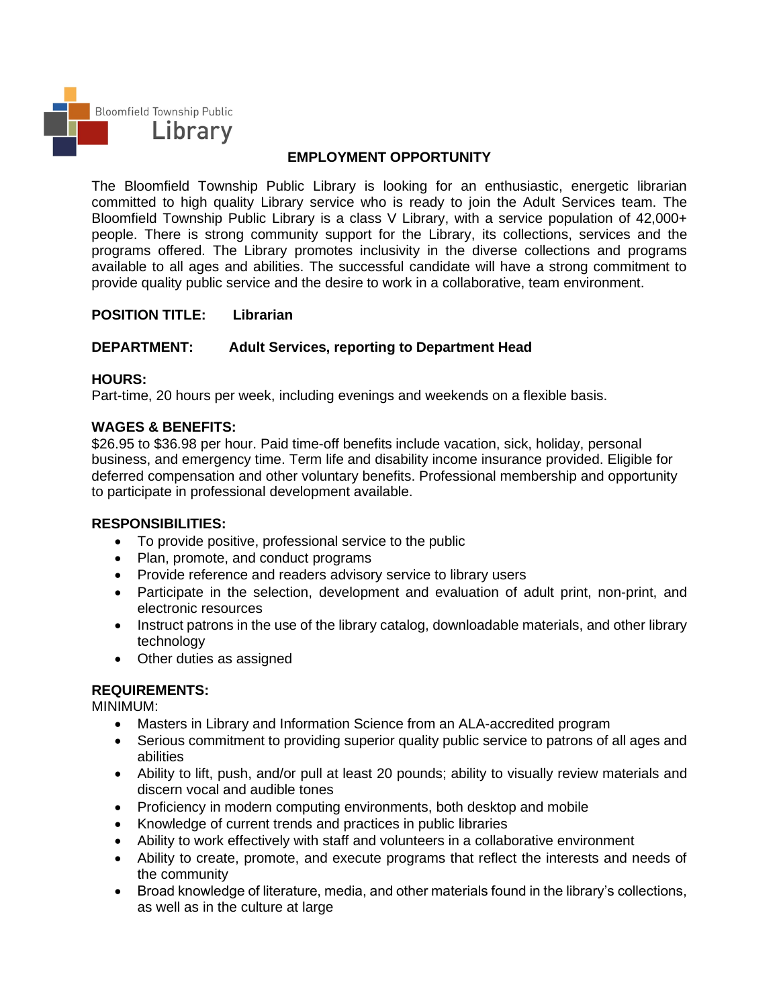

# **EMPLOYMENT OPPORTUNITY**

The Bloomfield Township Public Library is looking for an enthusiastic, energetic librarian committed to high quality Library service who is ready to join the Adult Services team. The Bloomfield Township Public Library is a class V Library, with a service population of 42,000+ people. There is strong community support for the Library, its collections, services and the programs offered. The Library promotes inclusivity in the diverse collections and programs available to all ages and abilities. The successful candidate will have a strong commitment to provide quality public service and the desire to work in a collaborative, team environment.

## **POSITION TITLE: Librarian**

## **DEPARTMENT: Adult Services, reporting to Department Head**

### **HOURS:**

Part-time, 20 hours per week, including evenings and weekends on a flexible basis.

### **WAGES & BENEFITS:**

\$26.95 to \$36.98 per hour. Paid time-off benefits include vacation, sick, holiday, personal business, and emergency time. Term life and disability income insurance provided. Eligible for deferred compensation and other voluntary benefits. Professional membership and opportunity to participate in professional development available.

#### **RESPONSIBILITIES:**

- To provide positive, professional service to the public
- Plan, promote, and conduct programs
- Provide reference and readers advisory service to library users
- Participate in the selection, development and evaluation of adult print, non-print, and electronic resources
- Instruct patrons in the use of the library catalog, downloadable materials, and other library technology
- Other duties as assigned

## **REQUIREMENTS:**

MINIMUM:

- Masters in Library and Information Science from an ALA-accredited program
- Serious commitment to providing superior quality public service to patrons of all ages and abilities
- Ability to lift, push, and/or pull at least 20 pounds; ability to visually review materials and discern vocal and audible tones
- Proficiency in modern computing environments, both desktop and mobile
- Knowledge of current trends and practices in public libraries
- Ability to work effectively with staff and volunteers in a collaborative environment
- Ability to create, promote, and execute programs that reflect the interests and needs of the community
- Broad knowledge of literature, media, and other materials found in the library's collections, as well as in the culture at large